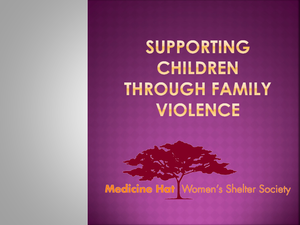## SUPPORTING CHILDREN **THROUGH FAMILY** VIOLENCE

Medicine Hat Women's Shelter Society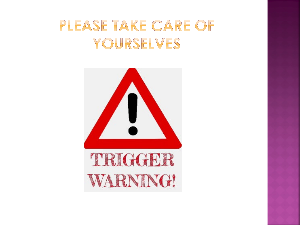### PLEASE TAKE CARE OF YOURSELVES

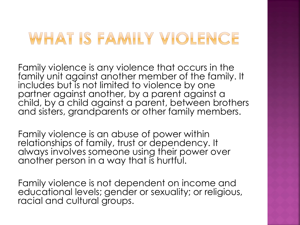### WHAT IS FAMILY VIOLENCE

Family violence is any violence that occurs in the family unit against another member of the family. It includes but is not limited to violence by one partner against another, by a parent against a child, by a child against a parent, between brothers and sisters, grandparents or other family members.

Family violence is an abuse of power within relationships of family, trust or dependency. It always involves someone using their power over another person in a way that is hurtful.

Family violence is not dependent on income and educational levels; gender or sexuality; or religious, racial and cultural groups.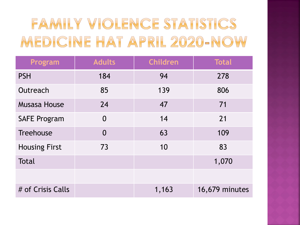## FAMILY VIOLENCE STATISTICS MEDICINE HAT APRIL 2020-NOW

| Program              | <b>Adults</b>  | <b>Children</b> | <b>Total</b>   |
|----------------------|----------------|-----------------|----------------|
| <b>PSH</b>           | 184            | 94              | 278            |
| Outreach             | 85             | 139             | 806            |
| <b>Musasa House</b>  | 24             | 47              | 71             |
| <b>SAFE Program</b>  | $\overline{0}$ | 14              | 21             |
| <b>Treehouse</b>     | $\overline{0}$ | 63              | 109            |
| <b>Housing First</b> | 73             | 10              | 83             |
| <b>Total</b>         |                |                 | 1,070          |
|                      |                |                 |                |
| # of Crisis Calls    |                | 1,163           | 16,679 minutes |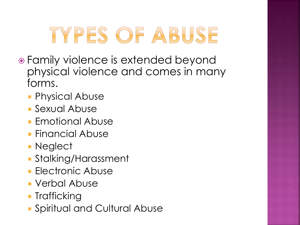# TYPES OF ABUSE

- Family violence is extended beyond physical violence and comes in many forms.
	- **Physical Abuse**
	- Sexual Abuse
	- **Emotional Abuse**
	- **Financial Abuse**
	- **Neglect**
	- Stalking/Harassment
	- **Electronic Abuse**
	- Verbal Abuse
	- **Trafficking**
	- Spiritual and Cultural Abuse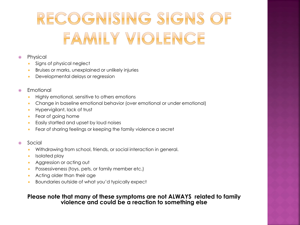## RECOGNISING SIGNS OF FAMILY VIOLENCE

#### • Physical

- Signs of physical neglect
- Bruises or marks, unexplained or unlikely injuries
- Developmental delays or regression

#### • Emotional

- **Highly emotional, sensitive to others emotions**
- Change in baseline emotional behavior (over emotional or under emotional)
- **Hypervigilant, lack of trust**
- **Fear of going home**
- Easily startled and upset by loud noises
- Fear of sharing feelings or keeping the family violence a secret

#### Social

- Withdrawing from school, friends, or social interaction in general.
- **I**solated play
- **Aggression or acting out**
- **Possessiveness (toys, pets, or family member etc.)**
- **Acting older than their age**
- Boundaries outside of what you'd typically expect

#### **Please note that many of these symptoms are not ALWAYS related to family violence and could be a reaction to something else**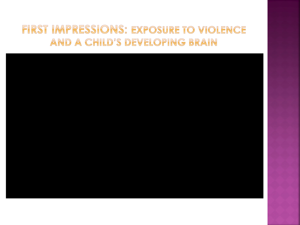#### FIRST IMPRESSIONS: EXPOSURE TO VIOLENCE AND A CHILD'S DEVELOPING BRAIN

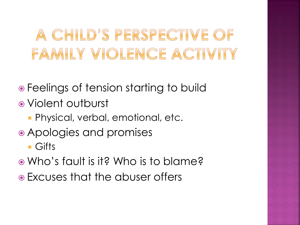## A CHILD'S PERSPECTIVE OF FAMILY VIOLENCE ACTIVITY

- Feelings of tension starting to build
- Violent outburst
	- Physical, verbal, emotional, etc.
- Apologies and promises
	- **Gifts**
- Who's fault is it? Who is to blame?
- Excuses that the abuser offers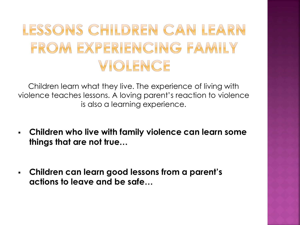### LESSONS CHILDREN CAN LEARN FROM EXPERIENCING FAMILY VIOLENCE

Children learn what they live. The experience of living with violence teaches lessons. A loving parent's reaction to violence is also a learning experience.

- **Children who live with family violence can learn some things that are not true…**
- **Children can learn good lessons from a parent's actions to leave and be safe…**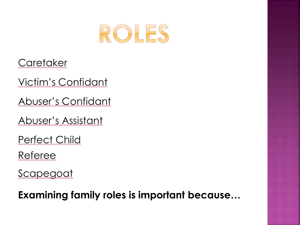

**Caretaker** 

Victim's Confidant

Abuser's Confidant

Abuser's Assistant

Perfect Child

Referee

**Scapegoat** 

**Examining family roles is important because…**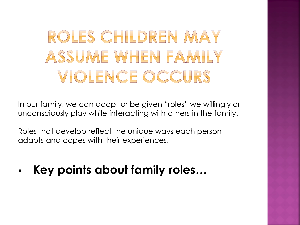## ROLES CHILDREN MAY ASSUME WHEN FAMILY **VIOLENCE OCCURS**

In our family, we can adopt or be given "roles" we willingly or unconsciously play while interacting with others in the family.

Roles that develop reflect the unique ways each person adapts and copes with their experiences.

**Key points about family roles…**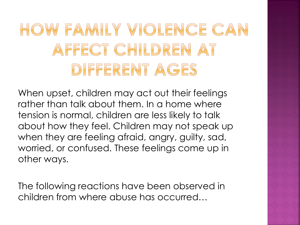## HOW FAMILY VIOLENCE CAN AFFECT CHILDREN AT DIFFERENT AGES

When upset, children may act out their feelings rather than talk about them. In a home where tension is normal, children are less likely to talk about how they feel. Children may not speak up when they are feeling afraid, angry, guilty, sad, worried, or confused. These feelings come up in other ways.

The following reactions have been observed in children from where abuse has occurred…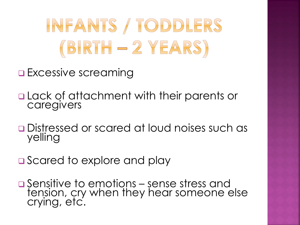# INFANTS / TODDLERS  $(BIRTH - 2 VEARS)$

- **Excessive screaming**
- **Q** Lack of attachment with their parents or caregivers
- Distressed or scared at loud noises such as yelling
- **□** Scared to explore and play
- **□ Sensitive to emotions sense stress and** tension, cry when they hear someone else crying, etc.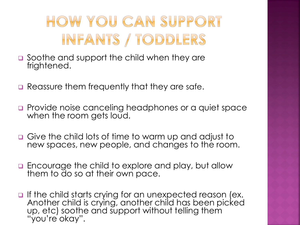## HOW YOU CAN SUPPORT INFANTS / TODDLERS

- **□** Soothe and support the child when they are frightened.
- **Q** Reassure them frequently that they are safe.
- **Provide noise canceling headphones or a quiet space** when the room gets loud.
- Give the child lots of time to warm up and adjust to new spaces, new people, and changes to the room.
- **Encourage the child to explore and play, but allow** them to do so at their own pace.
- $\Box$  If the child starts crying for an unexpected reason (ex. Another child is crying, another child has been picked up, etc) soothe and support without telling them "you're okay".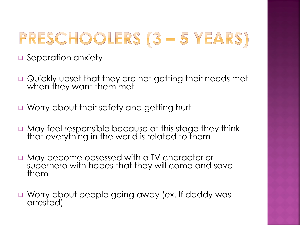## PRESCHOOLERS (3 - 5 YEARS)

- **a** Separation anxiety
- Quickly upset that they are not getting their needs met when they want them met
- **u** Worry about their safety and getting hurt
- $\Box$  May feel responsible because at this stage they think that everything in the world is related to them
- May become obsessed with a TV character or superhero with hopes that they will come and save them
- Worry about people going away (ex. If daddy was arrested)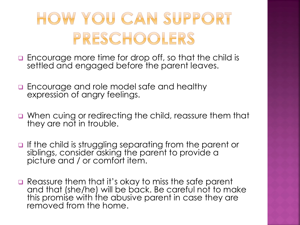## HOW YOU CAN SUPPORT PRESCHOOLERS

- **Encourage more time for drop off, so that the child is** settled and engaged before the parent leaves.
- **Encourage and role model safe and healthy** expression of angry feelings.
- When cuing or redirecting the child, reassure them that they are not in trouble.
- **If the child is struggling separating from the parent or** siblings, consider asking the parent to provide a picture and / or comfort item.
- Reassure them that it's okay to miss the safe parent and that (she/he) will be back. Be careful not to make this promise with the abusive parent in case they are removed from the home.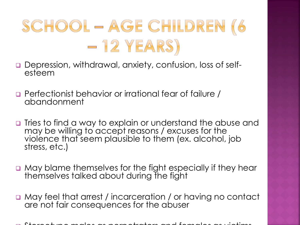

- Depression, withdrawal, anxiety, confusion, loss of self- esteem
- Perfectionist behavior or irrational fear of failure / abandonment
- **The stomart india way to explain or understand the abuse and I** may be willing to accept reasons / excuses for the violence that seem plausible to them (ex. alcohol, job stress, etc.)
- May blame themselves for the fight especially if they hear themselves talked about during the fight
- May feel that arrest / incarceration / or having no contact are not fair consequences for the abuser

Stereotype males as perpetrators and females as victims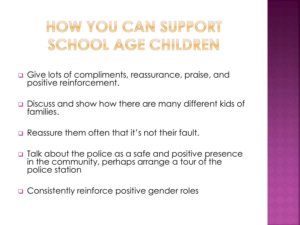HOW YOU CAN SUPPORT SCHOOL AGE CHILDREN

- Give lots of compliments, reassurance, praise, and positive reinforcement.
- Discuss and show how there are many different kids of families.
- **E** Reassure them often that it's not their fault.
- □ Talk about the police as a safe and positive presence in the community, perhaps arrange a tour of the police station

**□ Consistently reinforce positive gender roles**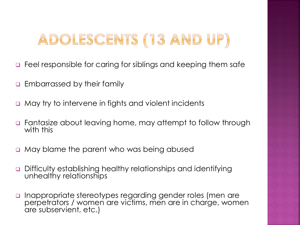### ADOLESCENTS (13 AND UP)

- □ Feel responsible for caring for siblings and keeping them safe
- Embarrassed by their family
- May try to intervene in fights and violent incidents
- Fantasize about leaving home, may attempt to follow through with this
- **Q** May blame the parent who was being abused
- Difficulty establishing healthy relationships and identifying unhealthy relationships
- Inappropriate stereotypes regarding gender roles (men are perpetrators / women are victims, men are in charge, women are subservient, etc.)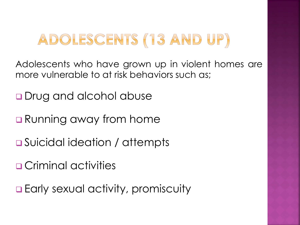### ADOLESCENTS (13 AND UP)

Adolescents who have grown up in violent homes are more vulnerable to at risk behaviors such as;

- **Q** Drug and alcohol abuse
- **□** Running away from home
- **□** Suicidal ideation / attempts
- **OCriminal activities**
- **Early sexual activity, promiscuity**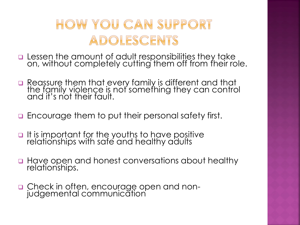#### HOW YOU CAN SUPPORT ADOLESCENTS

- $\Box$  Lessen the amount of adult responsibilities they take on, without completely cutting them off from their role.
- **n** Reassure them that every family is different and that the family violence is not something they can control and it's not their fault.
- **Encourage them to put their personal safety first.**
- $\Box$  It is important for the youths to have positive relationships with safe and healthy adults
- Have open and honest conversations about healthy relationships.
- Check in often, encourage open and non- judgemental communication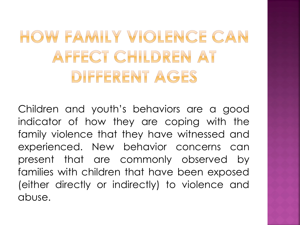## HOW FAMILY VIOLENCE CAN AFFECT CHILDREN AT DIFFERENT AGES

Children and youth's behaviors are a good indicator of how they are coping with the family violence that they have witnessed and experienced. New behavior concerns can present that are commonly observed by families with children that have been exposed (either directly or indirectly) to violence and abuse.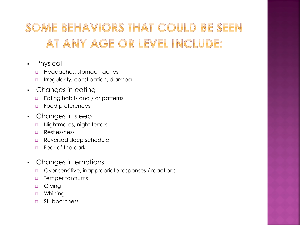#### SOME BEHAVIORS THAT COULD BE SEEN AT ANY AGE OR LEVEL INCLUDE:

- Physical
	- **Headaches, stomach aches**
	- **Irregularity, constipation, diarrhea**
- Changes in eating
	- **Eating habits and / or patterns**
	- **D** Food preferences
- Changes in sleep
	- nightmares, night terrors
	- **D** Restlessness
	- Reversed sleep schedule
	- Fear of the dark
- Changes in emotions
	- Over sensitive, inappropriate responses / reactions
	- **D** Temper tantrums
	- **D** Crying
	- **u** Whining
	- Stubbornness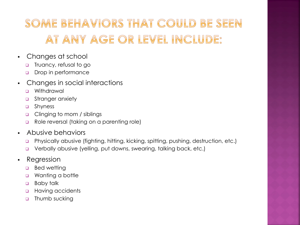#### SOME BEHAVIORS THAT COULD BE SEEN AT ANY AGE OR LEVEL INCLUDE:

- Changes at school
	- **D** Truancy, refusal to go
	- Drop in performance
- Changes in social interactions
	- **u** Withdrawal
	- **a** Stranger anxiety
	- □ Shyness
	- **Q** Clinging to mom / siblings
	- Role reversal (taking on a parenting role)
- **Abusive behaviors** 
	- Physically abusive (fighting, hitting, kicking, spitting, pushing, destruction, etc.)
	- **u** Verbally abusive (yelling, put downs, swearing, talking back, etc.)
- Regression
	- **Bed wetting**
	- **u** Wanting a bottle
	- **Baby talk**
	- **Having accidents**
	- **D** Thumb sucking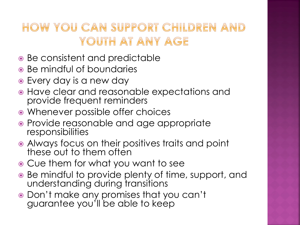#### HOW YOU CAN SUPPORT CHILDREN AND YOUTH AT ANY AGE

- Be consistent and predictable
- Be mindful of boundaries
- Every day is a new day
- Have clear and reasonable expectations and provide frequent reminders
- Whenever possible offer choices
- Provide reasonable and age appropriate responsibilities
- Always focus on their positives traits and point these out to them often
- Cue them for what you want to see
- Be mindful to provide plenty of time, support, and understanding during transitions
- Don't make any promises that you can't guarantee you'll be able to keep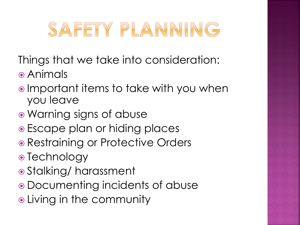## SAFETY PLANNING

Things that we take into consideration:

- Animals
- **Important items to take with you when** you leave
- Warning signs of abuse
- Escape plan or hiding places
- Restraining or Protective Orders
- Technology
- Stalking/ harassment
- Documenting incidents of abuse
- Living in the community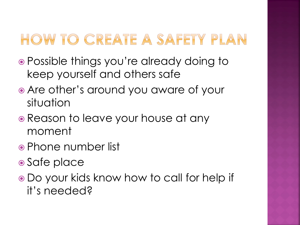### HOW TO CREATE A SAFETY PLAN

- Possible things you're already doing to keep yourself and others safe
- Are other's around you aware of your situation
- Reason to leave your house at any moment
- Phone number list
- Safe place
- Do your kids know how to call for help if it's needed?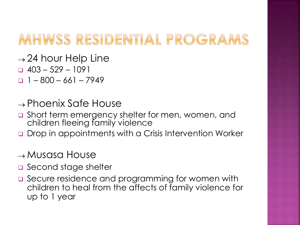### MHWSS RESIDENTIAL PROGRAMS

- $\rightarrow$  24 hour Help Line
- $\Box$  403 529 1091
- $-1 800 661 7949$
- $\rightarrow$  Phoenix Safe House
- □ Short term emergency shelter for men, women, and children fleeing family violence
- **Drop in appointments with a Crisis Intervention Worker**

#### $\rightarrow$  Musasa House

- second stage shelter
- □ Secure residence and programming for women with children to heal from the affects of family violence for up to 1 year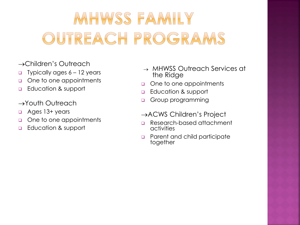## MHWSS FAMILY OUTREACH PROGRAMS

- →Children's Outreach
- **Typically ages 6 12 years**
- o One to one appointments
- **Education & support**
- →Youth Outreach
- Ages 13+ years
- one to one appointments
- **Education & support**
- → MHWSS Outreach Services at the Ridge
- one to one appointments
- **Education & support**
- Group programming
- →ACWS Children's Project
- Research-based attachment activities
- **Parent and child participate** together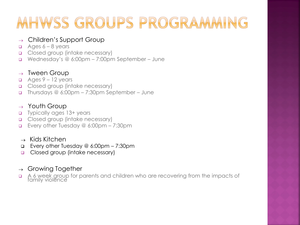### MHWSS GROUPS PROGRAMMING

#### $\rightarrow$  Children's Support Group

- $\Box$  Ages 6 8 years
- Closed group (intake necessary)
- Wednesday's @ 6:00pm 7:00pm September June

#### $\rightarrow$  Tween Group

- $\Box$  Ages 9 12 years
- **Q** Closed group (intake necessary)
- Thursdays @ 6:00pm 7:30pm September June

#### $\rightarrow$  Youth Group

- □ Typically ages 13+ years
- Closed group (intake necessary)
- Every other Tuesday @ 6:00pm 7:30pm
- $\rightarrow$  Kids Kitchen
- Every other Tuesday @ 6:00pm 7:30pm
- Closed group (intake necessary)

#### $\rightarrow$  Growing Together

A 6 week group for parents and children who are recovering from the impacts of family violence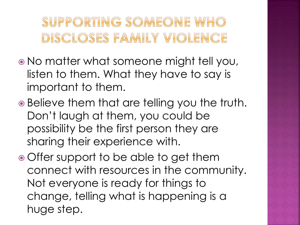SUPPORTING SOMEONE WHO DISCLOSES FAMILY VIOLENCE

- No matter what someone might tell you, listen to them. What they have to say is important to them.
- Believe them that are telling you the truth. Don't laugh at them, you could be possibility be the first person they are sharing their experience with.
- Offer support to be able to get them connect with resources in the community. Not everyone is ready for things to change, telling what is happening is a huge step.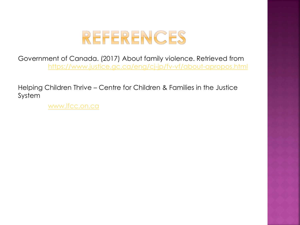

Government of Canada. (2017) About family violence. Retrieved from <https://www.justice.gc.ca/eng/cj-jp/fv-vf/about-apropos.html>

Helping Children Thrive – Centre for Children & Families in the Justice System

[www.lfcc.on.ca](http://www.lfcc.on.ca/)